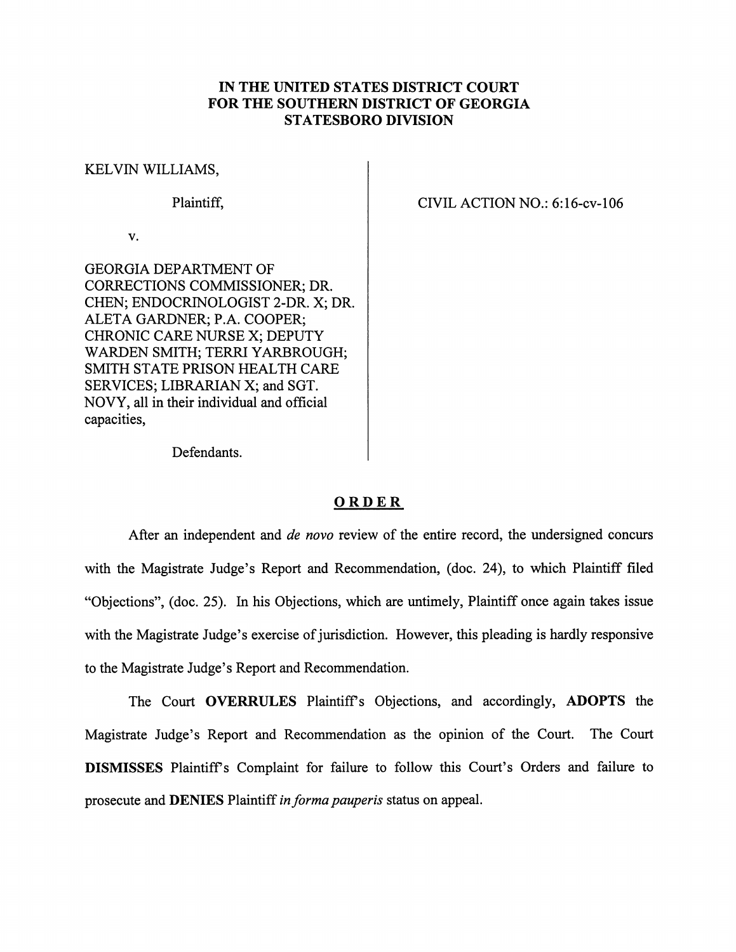## *IN THE UNITED STATES DISTRICT COURT FOR THE SOUTHERN DISTRICT OF GEORGIA STATESBORO DIVISION*

## KELVIN WILLIAMS,

## Plaintiff,

v.

GEORGIA DEPARTMENT OF CORRECTIONS COMMISSIONER; DR. CHEN; ENDOCRINOLOGIST 2-DR. X; DR. ALETA GARDNER; P.A. COOPER; CHRONIC CARE NURSE X; DEPUTY WARDEN SMITH; TERRI YARBROUGH; SMITH STATE PRISON HEALTH CARE SERVICES; LIBRARIAN X; and SGT. NOVY, all in their individual and official capacities,

CIVIL ACTION NO.: 6:16-cv-106

Defendants.

## *ORDER*

After an independent and **de novo** review of the entire record, the undersigned concurs with the Magistrate Judge's Report and Recommendation, (doc. 24), to which Plaintiff filed "Objections", (doc. 25). In his Objections, which are untimely, Plaintiff once again takes issue with the Magistrate Judge's exercise of jurisdiction. However, this pleading is hardly responsive to the Magistrate Judge's Report and Recommendation.

The Court *OVERRULES* Plaintiffs Objections, and accordingly, *ADOPTS* the Magistrate Judge's Report and Recommendation as the opinion of the Court. The Court *DISMISSES* Plaintiffs Complaint for failure to follow this Court's Orders and failure to prosecute and **DENIES** Plaintiff in forma pauperis status on appeal.